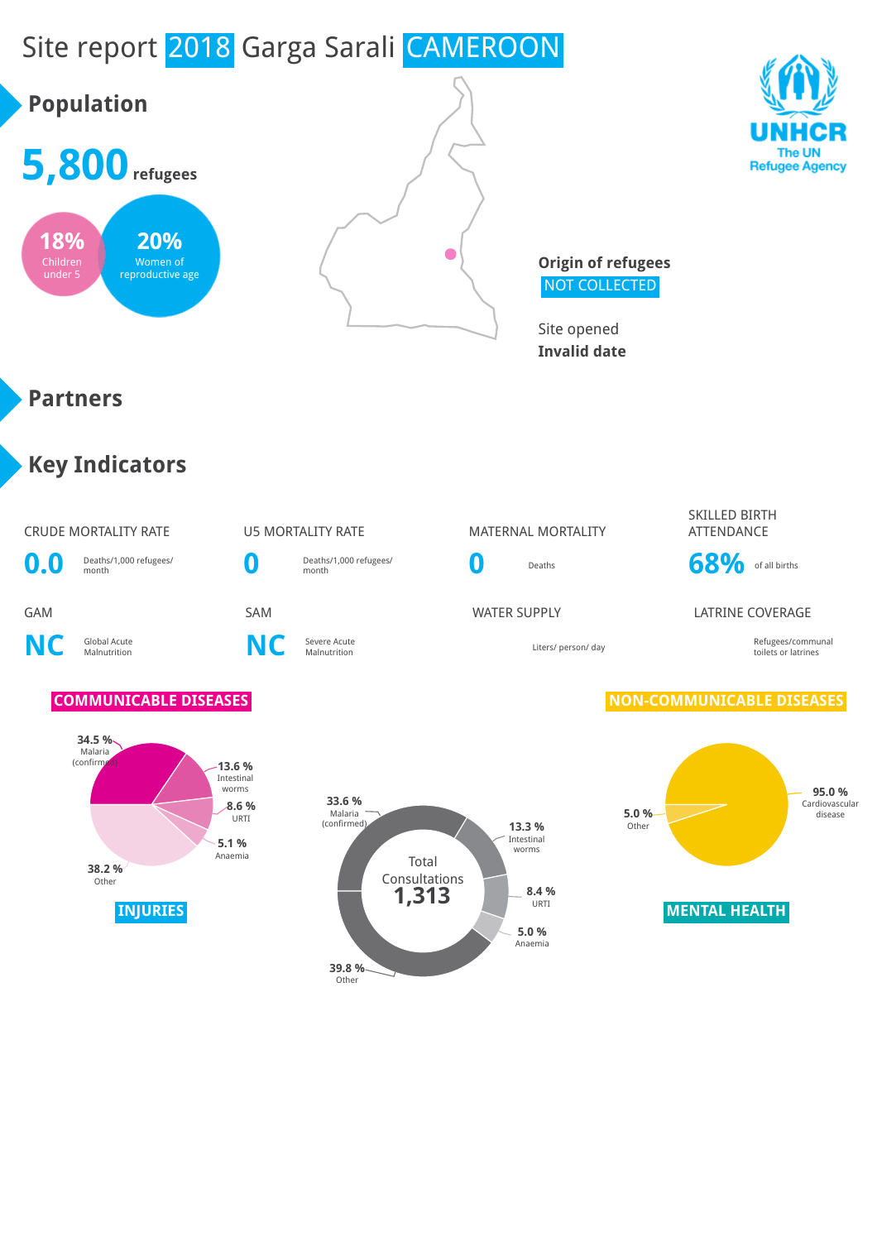

# **Population**







**Origin of refugees** NOT COLLECTED

Site opened **Invalid date**

#### **Partners**

## **Key Indicators**

#### CRUDE MORTALITY RATE U5 MORTALITY RATE MATERNAL MORTALITY SKILLED BIRTH ATTENDANCE **0.0** Deaths/1,000 refugees/ **0** Deaths/1,000 refugees/ **0** Deaths **68%** of all births GAM SAM SAM SAM WATER SUPPLY LATRINE COVERAGE **NC** Global Acute **C** Severe Acute<br>Malnutrition **NC** Severe Acute Malnutrition Liters/ person/ day Refugees/communal toilets or latrines **COMMUNICABLE DISEASES NON-COMMUNICABLE DISEASES**





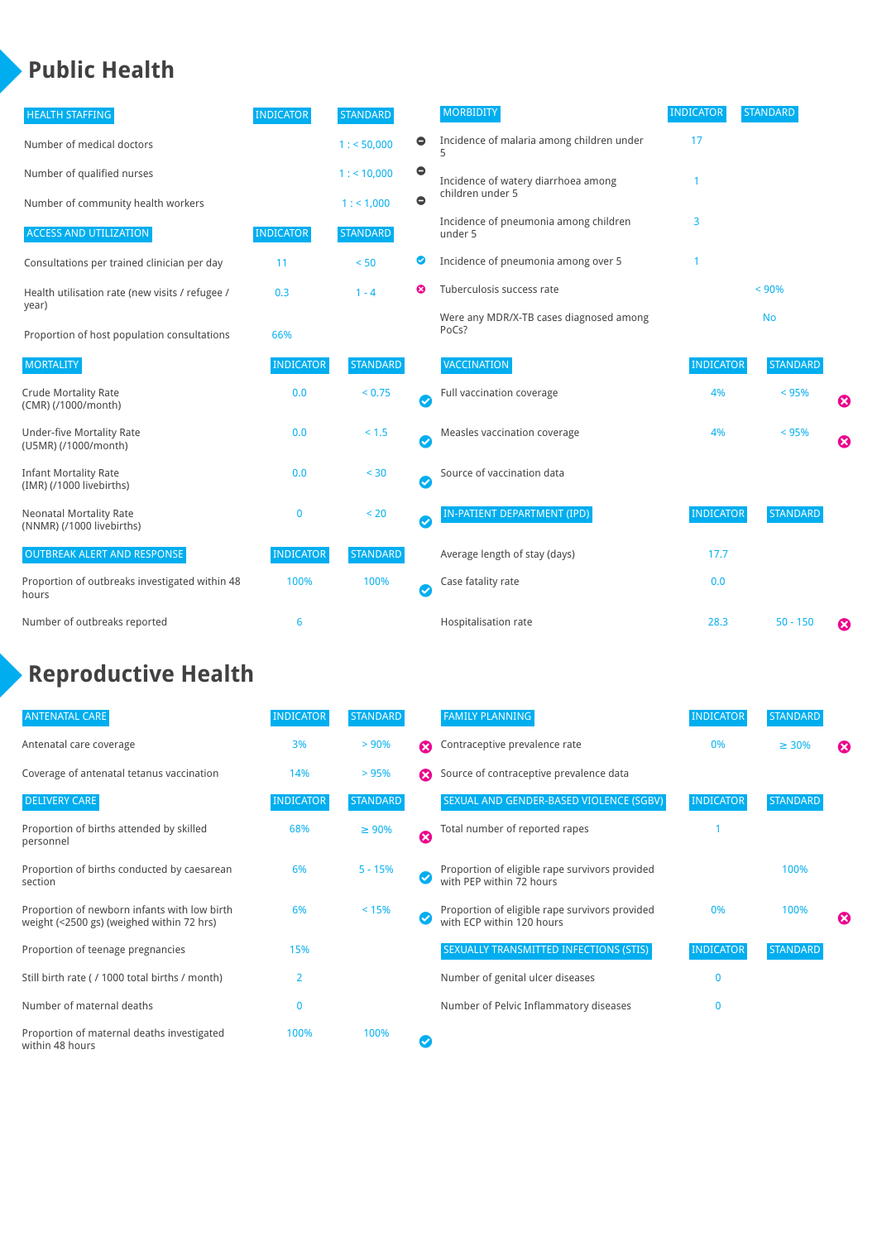## **Public Health**

| <b>HEALTH STAFFING</b>                                      | <b>INDICATOR</b> | <b>STANDARD</b> |                            | <b>MORBIDITY</b>                                 | <b>INDICATOR</b> | <b>STANDARD</b> |   |
|-------------------------------------------------------------|------------------|-----------------|----------------------------|--------------------------------------------------|------------------|-----------------|---|
| Number of medical doctors                                   |                  | 1: 50,000       | 0                          | Incidence of malaria among children under        | 17               |                 |   |
| Number of qualified nurses                                  |                  | 1:10,000        | $\bullet$                  | Incidence of watery diarrhoea among              |                  |                 |   |
| Number of community health workers                          |                  | 1: 1,000        | $\bullet$                  | children under 5                                 |                  |                 |   |
| <b>ACCESS AND UTILIZATION</b>                               | <b>INDICATOR</b> | <b>STANDARD</b> |                            | Incidence of pneumonia among children<br>under 5 | 3                |                 |   |
| Consultations per trained clinician per day                 | 11               | < 50            | Ø                          | Incidence of pneumonia among over 5              |                  |                 |   |
| Health utilisation rate (new visits / refugee /             | 0.3              | $1 - 4$         | ೞ                          | Tuberculosis success rate                        | < 90%            |                 |   |
| year)<br>Proportion of host population consultations        | 66%              |                 |                            | Were any MDR/X-TB cases diagnosed among<br>PoCs? |                  | <b>No</b>       |   |
| <b>MORTALITY</b>                                            | <b>INDICATOR</b> | <b>STANDARD</b> |                            | <b>VACCINATION</b>                               | <b>INDICATOR</b> | <b>STANDARD</b> |   |
| <b>Crude Mortality Rate</b><br>(CMR) (/1000/month)          | 0.0              | < 0.75          | $\bullet$                  | Full vaccination coverage                        | 4%               | < 95%           | € |
| <b>Under-five Mortality Rate</b><br>(U5MR) (/1000/month)    | 0.0              | $< 1.5$         | $\bullet$                  | Measles vaccination coverage                     | 4%               | < 95%           | Ø |
| <b>Infant Mortality Rate</b><br>(IMR) (/1000 livebirths)    | 0.0              | $< 30$          | $\boldsymbol{\mathcal{S}}$ | Source of vaccination data                       |                  |                 |   |
| <b>Neonatal Mortality Rate</b><br>(NNMR) (/1000 livebirths) | 0                | < 20            | $\bullet$                  | IN-PATIENT DEPARTMENT (IPD)                      | <b>INDICATOR</b> | <b>STANDARD</b> |   |
| <b>OUTBREAK ALERT AND RESPONSE</b>                          | <b>INDICATOR</b> | <b>STANDARD</b> |                            | Average length of stay (days)                    | 17.7             |                 |   |
| Proportion of outbreaks investigated within 48<br>hours     | 100%             | 100%            | $\boldsymbol{\mathcal{S}}$ | Case fatality rate                               | 0.0              |                 |   |
| Number of outbreaks reported                                | 6                |                 |                            | Hospitalisation rate                             | 28.3             | $50 - 150$      | ೞ |

## **Reproductive Health**

| <b>ANTENATAL CARE</b>                                                                     | <b>INDICATOR</b> | <b>STANDARD</b> |                     | <b>FAMILY PLANNING</b>                                                      | <b>INDICATOR</b> | <b>STANDARD</b> |                       |
|-------------------------------------------------------------------------------------------|------------------|-----------------|---------------------|-----------------------------------------------------------------------------|------------------|-----------------|-----------------------|
| Antenatal care coverage                                                                   | 3%               | > 90%           | Ω                   | Contraceptive prevalence rate                                               | 0%               | $\geq 30\%$     | $\boldsymbol{\omega}$ |
| Coverage of antenatal tetanus vaccination                                                 | 14%              | >95%            |                     | Source of contraceptive prevalence data                                     |                  |                 |                       |
| <b>DELIVERY CARE</b>                                                                      | <b>INDICATOR</b> | <b>STANDARD</b> |                     | SEXUAL AND GENDER-BASED VIOLENCE (SGBV)                                     | <b>INDICATOR</b> | <b>STANDARD</b> |                       |
| Proportion of births attended by skilled<br>personnel                                     | 68%              | $\geq 90\%$     | $\ddot{\mathbf{c}}$ | Total number of reported rapes                                              |                  |                 |                       |
| Proportion of births conducted by caesarean<br>section                                    | 6%               | $5 - 15%$       |                     | Proportion of eligible rape survivors provided<br>with PEP within 72 hours  |                  | 100%            |                       |
| Proportion of newborn infants with low birth<br>weight (<2500 gs) (weighed within 72 hrs) | 6%               | < 15%           |                     | Proportion of eligible rape survivors provided<br>with ECP within 120 hours | 0%               | 100%            | ೞ                     |
| Proportion of teenage pregnancies                                                         | 15%              |                 |                     | SEXUALLY TRANSMITTED INFECTIONS (STIS)                                      | <b>INDICATOR</b> | <b>STANDARD</b> |                       |
| Still birth rate (/ 1000 total births / month)                                            | 2                |                 |                     | Number of genital ulcer diseases                                            | $\mathbf{0}$     |                 |                       |
| Number of maternal deaths                                                                 | $\mathbf{0}$     |                 |                     | Number of Pelvic Inflammatory diseases                                      | $\mathbf{0}$     |                 |                       |
| Proportion of maternal deaths investigated<br>within 48 hours                             | 100%             | 100%            |                     |                                                                             |                  |                 |                       |